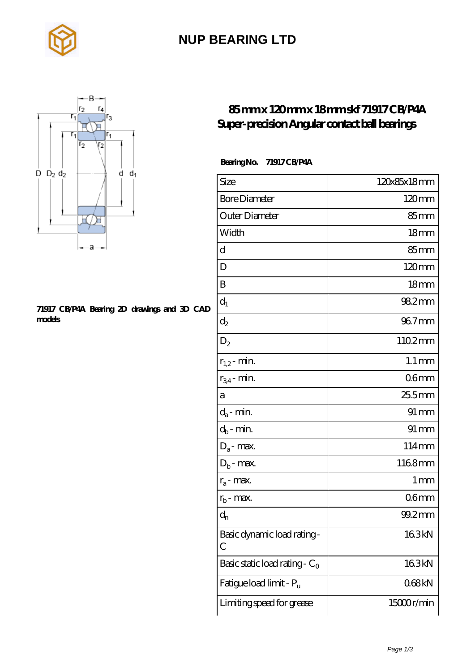

### **[NUP BEARING LTD](https://rsi-center.com)**



#### **[71917 CB/P4A Bearing 2D drawings and 3D CAD](https://rsi-center.com/pic-251655.html) [models](https://rsi-center.com/pic-251655.html)**

### **[85 mm x 120 mm x 18 mm skf 71917 CB/P4A](https://rsi-center.com/au-251655-skf-71917-cb-p4a-super-precision-angular-contact-ball-bearings.html) [Super-precision Angular contact ball bearings](https://rsi-center.com/au-251655-skf-71917-cb-p4a-super-precision-angular-contact-ball-bearings.html)**

 **Bearing No. 71917 CB/P4A**

| Size                             | 120x85x18mm         |
|----------------------------------|---------------------|
| <b>Bore Diameter</b>             | $120 \text{mm}$     |
| Outer Diameter                   | $85 \text{mm}$      |
| Width                            | 18 <sub>mm</sub>    |
| d                                | 85 <sub>mm</sub>    |
| D                                | $120 \text{mm}$     |
| B                                | 18 <sub>mm</sub>    |
| $d_1$                            | 982mm               |
| $d_2$                            | $967$ mm            |
| $D_2$                            | 1102mm              |
| $r_{1,2}$ - min.                 | $1.1 \,\mathrm{mm}$ |
| $r_{34}$ - min.                  | 06 <sub>mm</sub>    |
| а                                | 255mm               |
| $d_a$ - min.                     | $91 \,\mathrm{mm}$  |
| $d_b$ - min.                     | $91 \,\mathrm{mm}$  |
| $D_a$ - max.                     | 114mm               |
| $D_b$ - max.                     | 1168mm              |
| $r_a$ - max.                     | 1 <sub>mm</sub>     |
| $r_{b}$ - max.                   | 06 <sub>mm</sub>    |
| $d_{n}$                          | 99.2mm              |
| Basic dynamic load rating-<br>С  | 163kN               |
| Basic static load rating - $C_0$ | 163kN               |
| Fatigue load limit - Pu          | 068kN               |
| Limiting speed for grease        | 15000r/min          |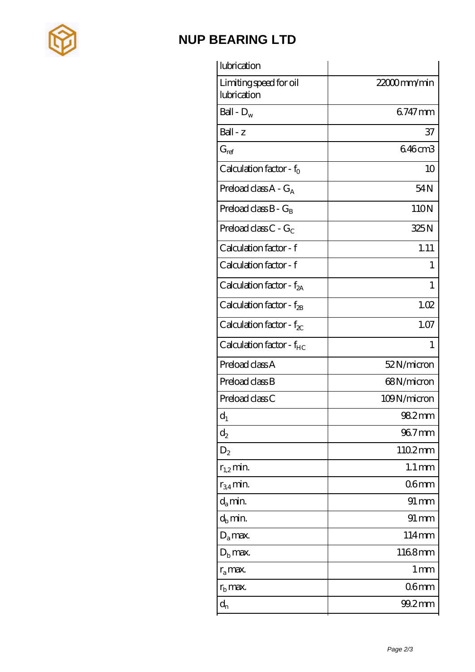

## **[NUP BEARING LTD](https://rsi-center.com)**

| lubrication                           |                     |
|---------------------------------------|---------------------|
| Limiting speed for oil<br>lubrication | 22000mm/min         |
| Ball - $D_w$                          | 6747mm              |
| Ball - z                              | 37                  |
| $G_{ref}$                             | 646cm3              |
| Calculation factor - $f_0$            | 10                  |
| Preload class $A - G_A$               | 54N                 |
| Preload class $B - G_B$               | 110N                |
| Preload class $C - G_C$               | 325N                |
| Calculation factor - f                | 1.11                |
| Calculation factor - f                | 1                   |
| Calculation factor - $f_{2A}$         | $\mathbf{1}$        |
| Calculation factor - $f_{\rm 2B}$     | 1.02                |
| Calculation factor - $f_{\chi}$       | 1.07                |
|                                       | $\mathbf{1}$        |
| Calculation factor - $f_{HC}$         |                     |
| Preload class A                       | 52N/micron          |
| Preload class B                       | 68N/micron          |
| Preload class C                       | 109N/micron         |
| $d_1$                                 | 982mm               |
| $\mathrm{d}_2$                        | 96.7mm              |
| $D_2$                                 | 1102mm              |
| $r_{1,2}$ min.                        | $1.1 \,\mathrm{mm}$ |
| $r_{34}$ min.                         | 06 <sub>mm</sub>    |
| $d_a$ min.                            | 91 mm               |
| $d_b$ min.                            | $91 \, \text{mm}$   |
| $D_a$ max.                            | 114mm               |
| $Db$ max.                             | 1168mm              |
| $r_a$ max.                            | 1 <sub>mm</sub>     |
| $r_{\rm b}$ max.                      | 06mm                |